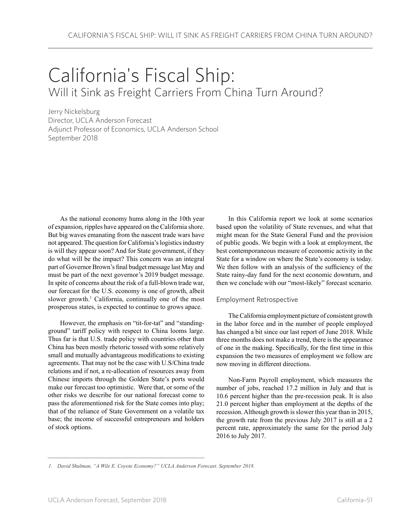## California's Fiscal Ship: Will it Sink as Freight Carriers From China Turn Around?

Jerry Nickelsburg Director, UCLA Anderson Forecast Adjunct Professor of Economics, UCLA Anderson School September 2018

As the national economy hums along in the 10th year of expansion, ripples have appeared on the California shore. But big waves emanating from the nascent trade wars have not appeared. The question for California's logistics industry is will they appear soon? And for State government, if they do what will be the impact? This concern was an integral part of Governor Brown's final budget message last May and must be part of the next governor's 2019 budget message. In spite of concerns about the risk of a full-blown trade war, our forecast for the U.S. economy is one of growth, albeit slower growth.<sup>1</sup> California, continually one of the most prosperous states, is expected to continue to grows apace.

However, the emphasis on "tit-for-tat" and "standingground" tariff policy with respect to China looms large. Thus far is that U.S. trade policy with countries other than China has been mostly rhetoric tossed with some relatively small and mutually advantageous modifications to existing agreements. That may not be the case with U.S/China trade relations and if not, a re-allocation of resources away from Chinese imports through the Golden State's ports would make our forecast too optimistic. Were that, or some of the other risks we describe for our national forecast come to pass the aforementioned risk for the State comes into play; that of the reliance of State Government on a volatile tax base; the income of successful entrepreneurs and holders of stock options.

In this California report we look at some scenarios based upon the volatility of State revenues, and what that might mean for the State General Fund and the provision of public goods. We begin with a look at employment, the best contemporaneous measure of economic activity in the State for a window on where the State's economy is today. We then follow with an analysis of the sufficiency of the State rainy-day fund for the next economic downturn, and then we conclude with our "most-likely" forecast scenario.

## Employment Retrospective

The California employment picture of consistent growth in the labor force and in the number of people employed has changed a bit since our last report of June 2018. While three months does not make a trend, there is the appearance of one in the making. Specifically, for the first time in this expansion the two measures of employment we follow are now moving in different directions.

Non-Farm Payroll employment, which measures the number of jobs, reached 17.2 million in July and that is 10.6 percent higher than the pre-recession peak. It is also 21.0 percent higher than employment at the depths of the recession. Although growth is slower this year than in 2015, the growth rate from the previous July 2017 is still at a 2 percent rate, approximately the same for the period July 2016 to July 2017.

*<sup>1.</sup> David Shulman, "A Wile E. Coyote Economy?" UCLA Anderson Forecast. September 2018.*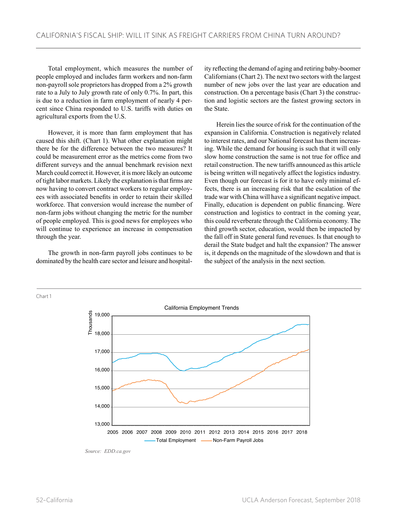Total employment, which measures the number of people employed and includes farm workers and non-farm non-payroll sole proprietors has dropped from a 2% growth rate to a July to July growth rate of only 0.7%. In part, this is due to a reduction in farm employment of nearly 4 percent since China responded to U.S. tariffs with duties on agricultural exports from the U.S.

However, it is more than farm employment that has caused this shift. (Chart 1). What other explanation might there be for the difference between the two measures? It could be measurement error as the metrics come from two different surveys and the annual benchmark revision next March could correct it. However, it is more likely an outcome of tight labor markets. Likely the explanation is that firms are now having to convert contract workers to regular employees with associated benefits in order to retain their skilled workforce. That conversion would increase the number of non-farm jobs without changing the metric for the number of people employed. This is good news for employees who will continue to experience an increase in compensation through the year.

The growth in non-farm payroll jobs continues to be dominated by the health care sector and leisure and hospitality reflecting the demand of aging and retiring baby-boomer Californians (Chart 2). The next two sectors with the largest number of new jobs over the last year are education and construction. On a percentage basis (Chart 3) the construction and logistic sectors are the fastest growing sectors in the State.

Herein lies the source of risk for the continuation of the expansion in California. Construction is negatively related to interest rates, and our National forecast has them increasing. While the demand for housing is such that it will only slow home construction the same is not true for office and retail construction. The new tariffs announced as this article is being written will negatively affect the logistics industry. Even though our forecast is for it to have only minimal effects, there is an increasing risk that the escalation of the trade war with China will have a significant negative impact. Finally, education is dependent on public financing. Were construction and logistics to contract in the coming year, this could reverberate through the California economy. The third growth sector, education, would then be impacted by the fall off in State general fund revenues. Is that enough to derail the State budget and halt the expansion? The answer is, it depends on the magnitude of the slowdown and that is the subject of the analysis in the next section.



*Source: EDD.ca.gov*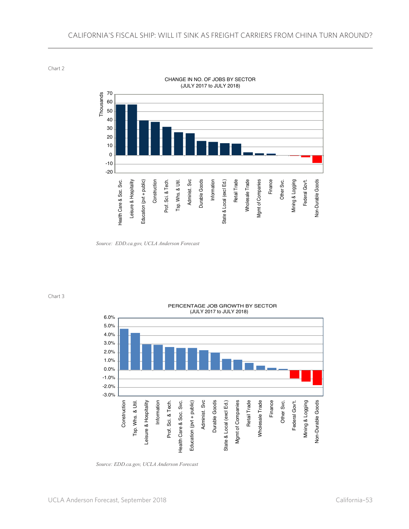Chart 2



CHANGE IN NO. OF JOBS BY SECTOR (JULY 2017 to JULY 2018)

*Source: EDD.ca.gov, UCLA Anderson Forecast*

Chart 3



*Source: EDD.ca.gov, UCLA Anderson Forecast*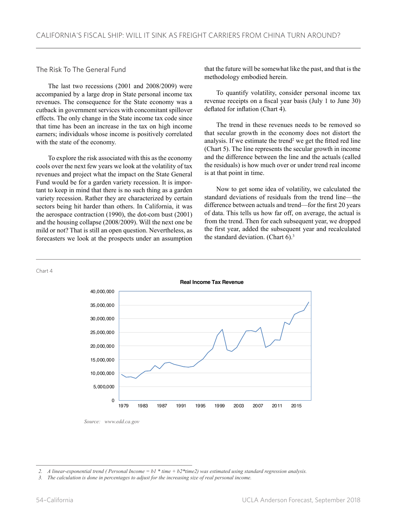## The Risk To The General Fund

The last two recessions (2001 and 2008/2009) were accompanied by a large drop in State personal income tax revenues. The consequence for the State economy was a cutback in government services with concomitant spillover effects. The only change in the State income tax code since that time has been an increase in the tax on high income earners; individuals whose income is positively correlated with the state of the economy.

To explore the risk associated with this as the economy cools over the next few years we look at the volatility of tax revenues and project what the impact on the State General Fund would be for a garden variety recession. It is important to keep in mind that there is no such thing as a garden variety recession. Rather they are characterized by certain sectors being hit harder than others. In California, it was the aerospace contraction (1990), the dot-com bust (2001) and the housing collapse (2008/2009). Will the next one be mild or not? That is still an open question. Nevertheless, as forecasters we look at the prospects under an assumption

that the future will be somewhat like the past, and that is the methodology embodied herein.

To quantify volatility, consider personal income tax revenue receipts on a fiscal year basis (July 1 to June 30) deflated for inflation (Chart 4).

The trend in these revenues needs to be removed so that secular growth in the economy does not distort the analysis. If we estimate the trend<sup>2</sup> we get the fitted red line (Chart 5). The line represents the secular growth in income and the difference between the line and the actuals (called the residuals) is how much over or under trend real income is at that point in time.

Now to get some idea of volatility, we calculated the standard deviations of residuals from the trend line—the difference between actuals and trend—for the first 20 years of data. This tells us how far off, on average, the actual is from the trend. Then for each subsequent year, we dropped the first year, added the subsequent year and recalculated the standard deviation. (Chart  $6$ ).<sup>3</sup>



*<sup>2.</sup> A linear-exponential trend ( Personal Income = b1 \* time + b2\*time2) was estimated using standard regression analysis.*

*<sup>3.</sup> The calculation is done in percentages to adjust for the increasing size of real personal income.*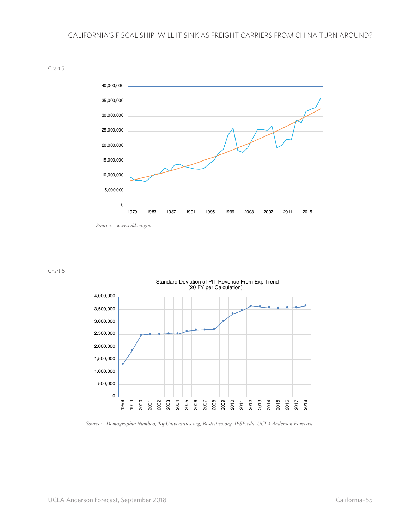0 5,000,000 10,000,000 15,000,000 20,000,000 25,000,000 30,000,000 35,000,000 40,000,000 1979 1983 1987 1991 1995 1999 2003 2007 2011 2015

Chart 5

*Source: www.edd.ca.gov*

Chart 6



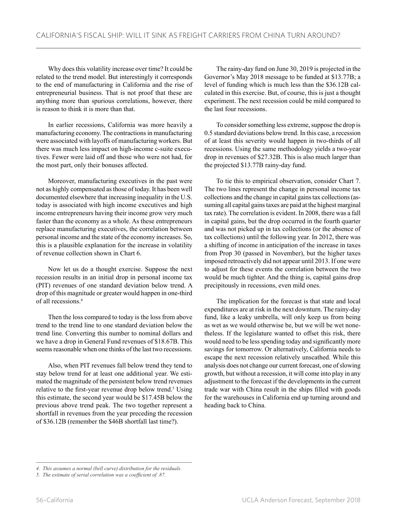Why does this volatility increase over time? It could be related to the trend model. But interestingly it corresponds to the end of manufacturing in California and the rise of entrepreneurial business. That is not proof that these are anything more than spurious correlations, however, there is reason to think it is more than that.

In earlier recessions, California was more heavily a manufacturing economy. The contractions in manufacturing were associated with layoffs of manufacturing workers. But there was much less impact on high-income c-suite executives. Fewer were laid off and those who were not had, for the most part, only their bonuses affected.

Moreover, manufacturing executives in the past were not as highly compensated as those of today. It has been well documented elsewhere that increasing inequality in the U.S. today is associated with high income executives and high income entrepreneurs having their income grow very much faster than the economy as a whole. As these entrepreneurs replace manufacturing executives, the correlation between personal income and the state of the economy increases. So, this is a plausible explanation for the increase in volatility of revenue collection shown in Chart 6.

Now let us do a thought exercise. Suppose the next recession results in an initial drop in personal income tax (PIT) revenues of one standard deviation below trend. A drop of this magnitude or greater would happen in one-third of all recessions.4

Then the loss compared to today is the loss from above trend to the trend line to one standard deviation below the trend line. Converting this number to nominal dollars and we have a drop in General Fund revenues of \$18.67B. This seems reasonable when one thinks of the last two recessions.

Also, when PIT revenues fall below trend they tend to stay below trend for at least one additional year. We estimated the magnitude of the persistent below trend revenues relative to the first-year revenue drop below trend.<sup>5</sup> Using this estimate, the second year would be \$17.45B below the previous above trend peak. The two together represent a shortfall in revenues from the year preceding the recession of \$36.12B (remember the \$46B shortfall last time?).

The rainy-day fund on June 30, 2019 is projected in the Governor's May 2018 message to be funded at \$13.77B; a level of funding which is much less than the \$36.12B calculated in this exercise. But, of course, this is just a thought experiment. The next recession could be mild compared to the last four recessions.

To consider something less extreme, suppose the drop is 0.5 standard deviations below trend. In this case, a recession of at least this severity would happen in two-thirds of all recessions. Using the same methodology yields a two-year drop in revenues of \$27.32B. This is also much larger than the projected \$13.77B rainy-day fund.

To tie this to empirical observation, consider Chart 7. The two lines represent the change in personal income tax collections and the change in capital gains tax collections (assuming all capital gains taxes are paid at the highest marginal tax rate). The correlation is evident. In 2008, there was a fall in capital gains, but the drop occurred in the fourth quarter and was not picked up in tax collections (or the absence of tax collections) until the following year. In 2012, there was a shifting of income in anticipation of the increase in taxes from Prop 30 (passed in November), but the higher taxes imposed retroactively did not appear until 2013. If one were to adjust for these events the correlation between the two would be much tighter. And the thing is, capital gains drop precipitously in recessions, even mild ones.

The implication for the forecast is that state and local expenditures are at risk in the next downturn. The rainy-day fund, like a leaky umbrella, will only keep us from being as wet as we would otherwise be, but we will be wet nonetheless. If the legislature wanted to offset this risk, there would need to be less spending today and significantly more savings for tomorrow. Or alternatively, California needs to escape the next recession relatively unscathed. While this analysis does not change our current forecast, one of slowing growth, but without a recession, it will come into play in any adjustment to the forecast if the developments in the current trade war with China result in the ships filled with goods for the warehouses in California end up turning around and heading back to China.

*<sup>4.</sup> This assumes a normal (bell curve) distribution for the residuals.*

*<sup>5.</sup> The estimate of serial correlation was a coefficient of .87.*